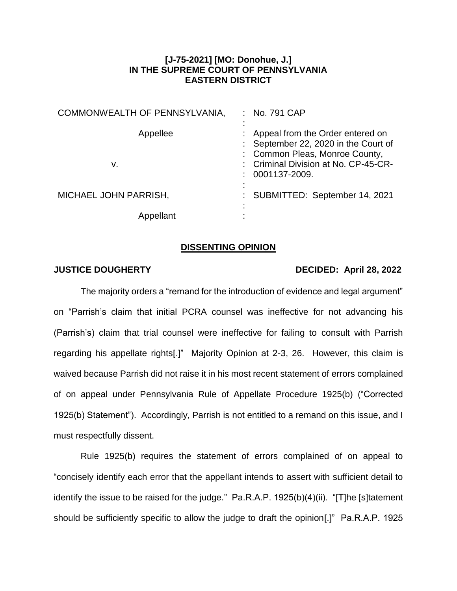## **[J-75-2021] [MO: Donohue, J.] IN THE SUPREME COURT OF PENNSYLVANIA EASTERN DISTRICT**

| COMMONWEALTH OF PENNSYLVANIA, | : No. 791 CAP                                                                                                                                                               |
|-------------------------------|-----------------------------------------------------------------------------------------------------------------------------------------------------------------------------|
| Appellee<br>v.                | : Appeal from the Order entered on<br>: September 22, 2020 in the Court of<br>: Common Pleas, Monroe County,<br>: Criminal Division at No. CP-45-CR-<br>$: 0001137 - 2009.$ |
| MICHAEL JOHN PARRISH,         | : SUBMITTED: September 14, 2021                                                                                                                                             |
| Appellant                     |                                                                                                                                                                             |

## **DISSENTING OPINION**

## **JUSTICE DOUGHERTY DECIDED: April 28, 2022**

The majority orders a "remand for the introduction of evidence and legal argument" on "Parrish's claim that initial PCRA counsel was ineffective for not advancing his (Parrish's) claim that trial counsel were ineffective for failing to consult with Parrish regarding his appellate rights[.]" Majority Opinion at 2-3, 26. However, this claim is waived because Parrish did not raise it in his most recent statement of errors complained of on appeal under Pennsylvania Rule of Appellate Procedure 1925(b) ("Corrected 1925(b) Statement"). Accordingly, Parrish is not entitled to a remand on this issue, and I must respectfully dissent.

Rule 1925(b) requires the statement of errors complained of on appeal to "concisely identify each error that the appellant intends to assert with sufficient detail to identify the issue to be raised for the judge." Pa.R.A.P. 1925(b)(4)(ii). "[T]he [s]tatement should be sufficiently specific to allow the judge to draft the opinion[.]" Pa.R.A.P. 1925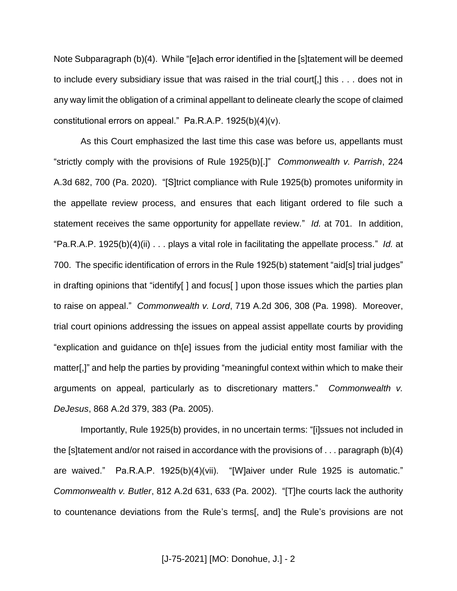Note Subparagraph (b)(4). While "[e]ach error identified in the [s]tatement will be deemed to include every subsidiary issue that was raised in the trial court[,] this . . . does not in any way limit the obligation of a criminal appellant to delineate clearly the scope of claimed constitutional errors on appeal." Pa.R.A.P. 1925(b)(4)(v).

As this Court emphasized the last time this case was before us, appellants must "strictly comply with the provisions of Rule 1925(b)[.]" *Commonwealth v. Parrish*, 224 A.3d 682, 700 (Pa. 2020). "[S]trict compliance with Rule 1925(b) promotes uniformity in the appellate review process, and ensures that each litigant ordered to file such a statement receives the same opportunity for appellate review." *Id.* at 701. In addition, "Pa.R.A.P. 1925(b)(4)(ii) . . . plays a vital role in facilitating the appellate process." *Id.* at 700. The specific identification of errors in the Rule 1925(b) statement "aid[s] trial judges" in drafting opinions that "identify[ ] and focus[ ] upon those issues which the parties plan to raise on appeal." *Commonwealth v. Lord*, 719 A.2d 306, 308 (Pa. 1998). Moreover, trial court opinions addressing the issues on appeal assist appellate courts by providing "explication and guidance on th[e] issues from the judicial entity most familiar with the matter[,]" and help the parties by providing "meaningful context within which to make their arguments on appeal, particularly as to discretionary matters." *Commonwealth v. DeJesus*, 868 A.2d 379, 383 (Pa. 2005).

Importantly, Rule 1925(b) provides, in no uncertain terms: "[i]ssues not included in the [s]tatement and/or not raised in accordance with the provisions of . . . paragraph (b)(4) are waived." Pa.R.A.P. 1925(b)(4)(vii). "[W]aiver under Rule 1925 is automatic." *Commonwealth v. Butler*, 812 A.2d 631, 633 (Pa. 2002). "[T]he courts lack the authority to countenance deviations from the Rule's terms[, and] the Rule's provisions are not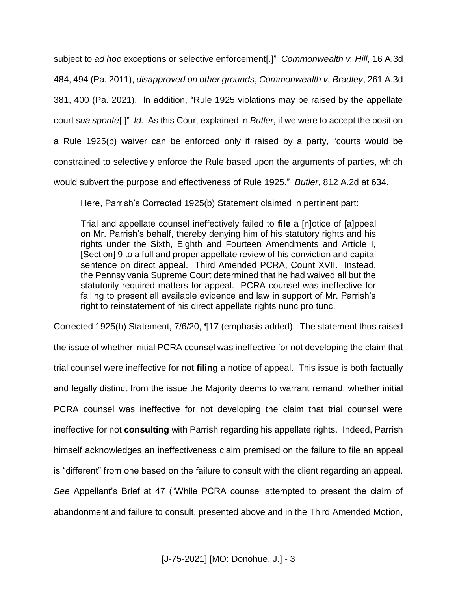subject to *ad hoc* exceptions or selective enforcement[.]" *Commonwealth v. Hill*, 16 A.3d 484, 494 (Pa. 2011), *disapproved on other grounds*, *Commonwealth v. Bradley*, 261 A.3d 381, 400 (Pa. 2021). In addition, "Rule 1925 violations may be raised by the appellate court *sua sponte*[.]" *Id.* As this Court explained in *Butler*, if we were to accept the position a Rule 1925(b) waiver can be enforced only if raised by a party, "courts would be constrained to selectively enforce the Rule based upon the arguments of parties, which would subvert the purpose and effectiveness of Rule 1925." *Butler*, 812 A.2d at 634.

Here, Parrish's Corrected 1925(b) Statement claimed in pertinent part:

Trial and appellate counsel ineffectively failed to **file** a [n]otice of [a]ppeal on Mr. Parrish's behalf, thereby denying him of his statutory rights and his rights under the Sixth, Eighth and Fourteen Amendments and Article I, [Section] 9 to a full and proper appellate review of his conviction and capital sentence on direct appeal. Third Amended PCRA, Count XVII. Instead, the Pennsylvania Supreme Court determined that he had waived all but the statutorily required matters for appeal. PCRA counsel was ineffective for failing to present all available evidence and law in support of Mr. Parrish's right to reinstatement of his direct appellate rights nunc pro tunc.

Corrected 1925(b) Statement, 7/6/20, ¶17 (emphasis added). The statement thus raised the issue of whether initial PCRA counsel was ineffective for not developing the claim that trial counsel were ineffective for not **filing** a notice of appeal. This issue is both factually and legally distinct from the issue the Majority deems to warrant remand: whether initial PCRA counsel was ineffective for not developing the claim that trial counsel were ineffective for not **consulting** with Parrish regarding his appellate rights. Indeed, Parrish himself acknowledges an ineffectiveness claim premised on the failure to file an appeal is "different" from one based on the failure to consult with the client regarding an appeal. *See* Appellant's Brief at 47 ("While PCRA counsel attempted to present the claim of abandonment and failure to consult, presented above and in the Third Amended Motion,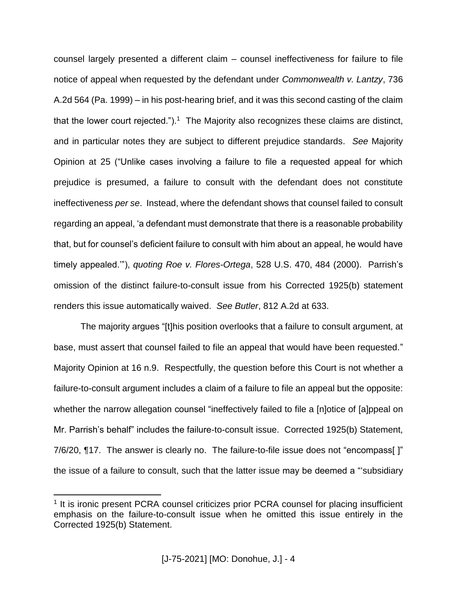counsel largely presented a different claim – counsel ineffectiveness for failure to file notice of appeal when requested by the defendant under *Commonwealth v. Lantzy*, 736 A.2d 564 (Pa. 1999) – in his post-hearing brief, and it was this second casting of the claim that the lower court rejected.").<sup>1</sup> The Majority also recognizes these claims are distinct, and in particular notes they are subject to different prejudice standards. *See* Majority Opinion at 25 ("Unlike cases involving a failure to file a requested appeal for which prejudice is presumed, a failure to consult with the defendant does not constitute ineffectiveness *per se*. Instead, where the defendant shows that counsel failed to consult regarding an appeal, 'a defendant must demonstrate that there is a reasonable probability that, but for counsel's deficient failure to consult with him about an appeal, he would have timely appealed.'"), *quoting Roe v. Flores-Ortega*, 528 U.S. 470, 484 (2000). Parrish's omission of the distinct failure-to-consult issue from his Corrected 1925(b) statement renders this issue automatically waived. *See Butler*, 812 A.2d at 633.

The majority argues "[t]his position overlooks that a failure to consult argument, at base, must assert that counsel failed to file an appeal that would have been requested." Majority Opinion at 16 n.9. Respectfully, the question before this Court is not whether a failure-to-consult argument includes a claim of a failure to file an appeal but the opposite: whether the narrow allegation counsel "ineffectively failed to file a [n]otice of [a]ppeal on Mr. Parrish's behalf" includes the failure-to-consult issue. Corrected 1925(b) Statement, 7/6/20, ¶17. The answer is clearly no. The failure-to-file issue does not "encompass[ ]" the issue of a failure to consult, such that the latter issue may be deemed a "'subsidiary

 $\overline{a}$ 

<sup>&</sup>lt;sup>1</sup> It is ironic present PCRA counsel criticizes prior PCRA counsel for placing insufficient emphasis on the failure-to-consult issue when he omitted this issue entirely in the Corrected 1925(b) Statement.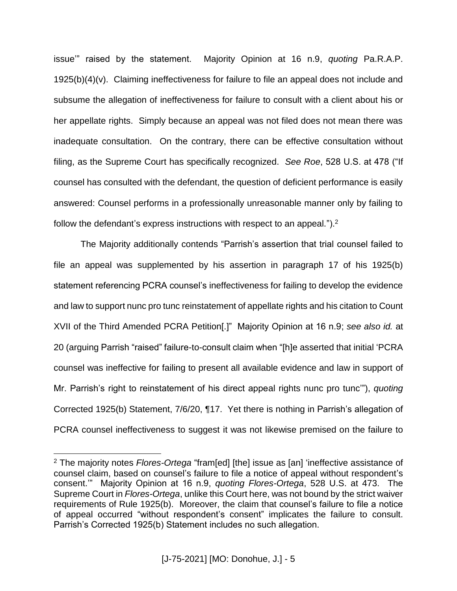issue'" raised by the statement. Majority Opinion at 16 n.9, *quoting* Pa.R.A.P. 1925(b)(4)(v). Claiming ineffectiveness for failure to file an appeal does not include and subsume the allegation of ineffectiveness for failure to consult with a client about his or her appellate rights. Simply because an appeal was not filed does not mean there was inadequate consultation. On the contrary, there can be effective consultation without filing, as the Supreme Court has specifically recognized. *See Roe*, 528 U.S. at 478 ("If counsel has consulted with the defendant, the question of deficient performance is easily answered: Counsel performs in a professionally unreasonable manner only by failing to follow the defendant's express instructions with respect to an appeal.").<sup>2</sup>

The Majority additionally contends "Parrish's assertion that trial counsel failed to file an appeal was supplemented by his assertion in paragraph 17 of his 1925(b) statement referencing PCRA counsel's ineffectiveness for failing to develop the evidence and law to support nunc pro tunc reinstatement of appellate rights and his citation to Count XVII of the Third Amended PCRA Petition[.]" Majority Opinion at 16 n.9; *see also id.* at 20 (arguing Parrish "raised" failure-to-consult claim when "[h]e asserted that initial 'PCRA counsel was ineffective for failing to present all available evidence and law in support of Mr. Parrish's right to reinstatement of his direct appeal rights nunc pro tunc'"), *quoting*  Corrected 1925(b) Statement, 7/6/20, ¶17. Yet there is nothing in Parrish's allegation of PCRA counsel ineffectiveness to suggest it was not likewise premised on the failure to

 $\overline{a}$ 

<sup>2</sup> The majority notes *Flores-Ortega* "fram[ed] [the] issue as [an] 'ineffective assistance of counsel claim, based on counsel's failure to file a notice of appeal without respondent's consent.'" Majority Opinion at 16 n.9, *quoting Flores-Ortega*, 528 U.S. at 473. The Supreme Court in *Flores-Ortega*, unlike this Court here, was not bound by the strict waiver requirements of Rule 1925(b). Moreover, the claim that counsel's failure to file a notice of appeal occurred "without respondent's consent" implicates the failure to consult. Parrish's Corrected 1925(b) Statement includes no such allegation.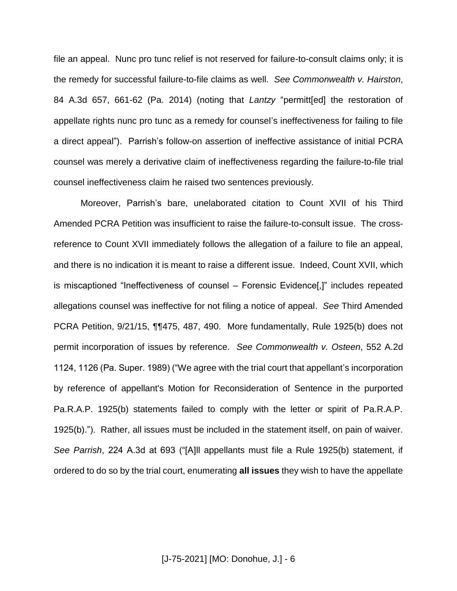file an appeal. Nunc pro tunc relief is not reserved for failure-to-consult claims only; it is the remedy for successful failure-to-file claims as well. *See Commonwealth v. Hairston*, 84 A.3d 657, 661-62 (Pa. 2014) (noting that *Lantzy* "permitt[ed] the restoration of appellate rights nunc pro tunc as a remedy for counsel's ineffectiveness for failing to file a direct appeal"). Parrish's follow-on assertion of ineffective assistance of initial PCRA counsel was merely a derivative claim of ineffectiveness regarding the failure-to-file trial counsel ineffectiveness claim he raised two sentences previously.

Moreover, Parrish's bare, unelaborated citation to Count XVII of his Third Amended PCRA Petition was insufficient to raise the failure-to-consult issue. The crossreference to Count XVII immediately follows the allegation of a failure to file an appeal, and there is no indication it is meant to raise a different issue. Indeed, Count XVII, which is miscaptioned "Ineffectiveness of counsel – Forensic Evidence[,]" includes repeated allegations counsel was ineffective for not filing a notice of appeal. *See* Third Amended PCRA Petition, 9/21/15, ¶¶475, 487, 490. More fundamentally, Rule 1925(b) does not permit incorporation of issues by reference. *See Commonwealth v. Osteen*, 552 A.2d 1124, 1126 (Pa. Super. 1989) ("We agree with the trial court that appellant's incorporation by reference of appellant's Motion for Reconsideration of Sentence in the purported Pa.R.A.P. 1925(b) statements failed to comply with the letter or spirit of Pa.R.A.P. 1925(b)."). Rather, all issues must be included in the statement itself, on pain of waiver. *See Parrish*, 224 A.3d at 693 ("[A]ll appellants must file a Rule 1925(b) statement, if ordered to do so by the trial court, enumerating **all issues** they wish to have the appellate